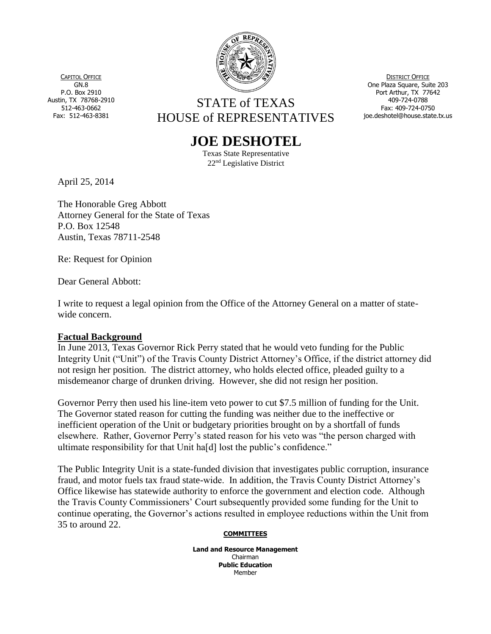

CAPITOL OFFICE GN.8 P.O. Box 2910 Austin, TX 78768-2910 512-463-0662 Fax: 512-463-8381

STATE of TEXAS HOUSE of REPRESENTATIVES

**DISTRICT OFFICE** One Plaza Square, Suite 203 Port Arthur, TX 77642 409-724-0788 Fax: 409-724-0750 joe.deshotel@house.state.tx.us

**JOE DESHOTEL**

Texas State Representative 22nd Legislative District

April 25, 2014

The Honorable Greg Abbott Attorney General for the State of Texas P.O. Box 12548 Austin, Texas 78711-2548

Re: Request for Opinion

Dear General Abbott:

I write to request a legal opinion from the Office of the Attorney General on a matter of statewide concern.

## **Factual Background**

In June 2013, Texas Governor Rick Perry stated that he would veto funding for the Public Integrity Unit ("Unit") of the Travis County District Attorney's Office, if the district attorney did not resign her position. The district attorney, who holds elected office, pleaded guilty to a misdemeanor charge of drunken driving. However, she did not resign her position.

Governor Perry then used his line-item veto power to cut \$7.5 million of funding for the Unit. The Governor stated reason for cutting the funding was neither due to the ineffective or inefficient operation of the Unit or budgetary priorities brought on by a shortfall of funds elsewhere. Rather, Governor Perry's stated reason for his veto was "the person charged with ultimate responsibility for that Unit ha[d] lost the public's confidence."

The Public Integrity Unit is a state-funded division that investigates public corruption, insurance fraud, and motor fuels tax fraud state-wide. In addition, the Travis County District Attorney's Office likewise has statewide authority to enforce the government and election code. Although the Travis County Commissioners' Court subsequently provided some funding for the Unit to continue operating, the Governor's actions resulted in employee reductions within the Unit from 35 to around 22.

## **COMMITTEES**

**Land and Resource Management** Chairman **Public Education** Member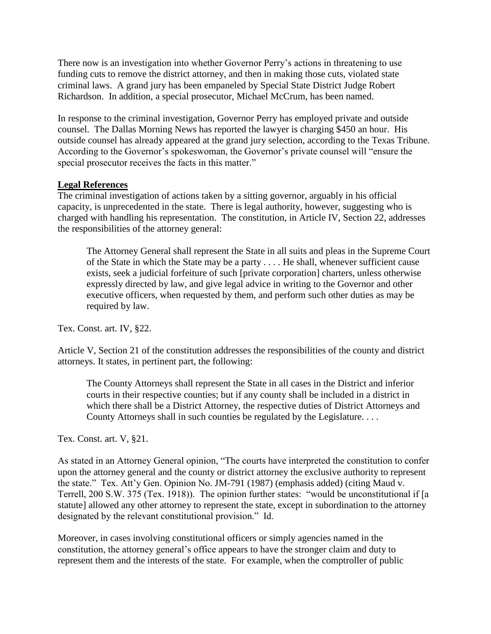There now is an investigation into whether Governor Perry's actions in threatening to use funding cuts to remove the district attorney, and then in making those cuts, violated state criminal laws. A grand jury has been empaneled by Special State District Judge Robert Richardson. In addition, a special prosecutor, Michael McCrum, has been named.

In response to the criminal investigation, Governor Perry has employed private and outside counsel. The Dallas Morning News has reported the lawyer is charging \$450 an hour. His outside counsel has already appeared at the grand jury selection, according to the Texas Tribune. According to the Governor's spokeswoman, the Governor's private counsel will "ensure the special prosecutor receives the facts in this matter."

## **Legal References**

The criminal investigation of actions taken by a sitting governor, arguably in his official capacity, is unprecedented in the state. There is legal authority, however, suggesting who is charged with handling his representation. The constitution, in Article IV, Section 22, addresses the responsibilities of the attorney general:

The Attorney General shall represent the State in all suits and pleas in the Supreme Court of the State in which the State may be a party . . . . He shall, whenever sufficient cause exists, seek a judicial forfeiture of such [private corporation] charters, unless otherwise expressly directed by law, and give legal advice in writing to the Governor and other executive officers, when requested by them, and perform such other duties as may be required by law.

Tex. Const. art. IV, §22.

Article V, Section 21 of the constitution addresses the responsibilities of the county and district attorneys. It states, in pertinent part, the following:

The County Attorneys shall represent the State in all cases in the District and inferior courts in their respective counties; but if any county shall be included in a district in which there shall be a District Attorney, the respective duties of District Attorneys and County Attorneys shall in such counties be regulated by the Legislature. . . .

Tex. Const. art. V, §21.

As stated in an Attorney General opinion, "The courts have interpreted the constitution to confer upon the attorney general and the county or district attorney the exclusive authority to represent the state." Tex. Att'y Gen. Opinion No. JM-791 (1987) (emphasis added) (citing Maud v. Terrell, 200 S.W. 375 (Tex. 1918)). The opinion further states: "would be unconstitutional if [a statute] allowed any other attorney to represent the state, except in subordination to the attorney designated by the relevant constitutional provision." Id.

Moreover, in cases involving constitutional officers or simply agencies named in the constitution, the attorney general's office appears to have the stronger claim and duty to represent them and the interests of the state. For example, when the comptroller of public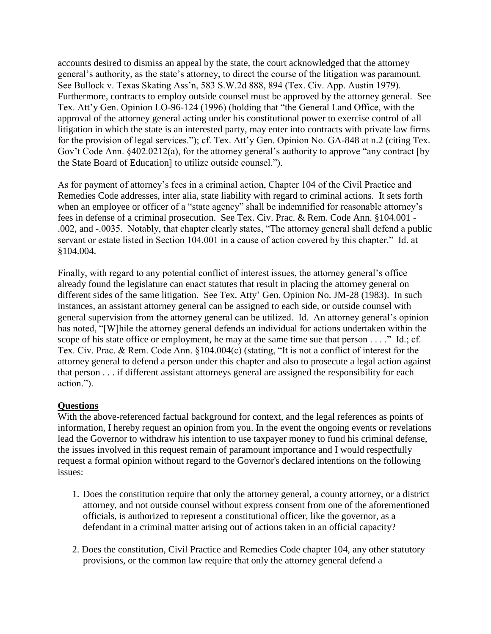accounts desired to dismiss an appeal by the state, the court acknowledged that the attorney general's authority, as the state's attorney, to direct the course of the litigation was paramount. See Bullock v. Texas Skating Ass'n, 583 S.W.2d 888, 894 (Tex. Civ. App. Austin 1979). Furthermore, contracts to employ outside counsel must be approved by the attorney general. See Tex. Att'y Gen. Opinion LO-96-124 (1996) (holding that "the General Land Office, with the approval of the attorney general acting under his constitutional power to exercise control of all litigation in which the state is an interested party, may enter into contracts with private law firms for the provision of legal services."); cf. Tex. Att'y Gen. Opinion No. GA-848 at n.2 (citing Tex. Gov't Code Ann. §402.0212(a), for the attorney general's authority to approve "any contract [by the State Board of Education] to utilize outside counsel.").

As for payment of attorney's fees in a criminal action, Chapter 104 of the Civil Practice and Remedies Code addresses, inter alia, state liability with regard to criminal actions. It sets forth when an employee or officer of a "state agency" shall be indemnified for reasonable attorney's fees in defense of a criminal prosecution. See Tex. Civ. Prac. & Rem. Code Ann. §104.001 - .002, and -.0035. Notably, that chapter clearly states, "The attorney general shall defend a public servant or estate listed in Section 104.001 in a cause of action covered by this chapter." Id. at §104.004.

Finally, with regard to any potential conflict of interest issues, the attorney general's office already found the legislature can enact statutes that result in placing the attorney general on different sides of the same litigation. See Tex. Atty' Gen. Opinion No. JM-28 (1983). In such instances, an assistant attorney general can be assigned to each side, or outside counsel with general supervision from the attorney general can be utilized. Id. An attorney general's opinion has noted, "[W]hile the attorney general defends an individual for actions undertaken within the scope of his state office or employment, he may at the same time sue that person . . . ." Id.; cf. Tex. Civ. Prac. & Rem. Code Ann. §104.004(c) (stating, "It is not a conflict of interest for the attorney general to defend a person under this chapter and also to prosecute a legal action against that person . . . if different assistant attorneys general are assigned the responsibility for each action.").

## **Questions**

With the above-referenced factual background for context, and the legal references as points of information, I hereby request an opinion from you. In the event the ongoing events or revelations lead the Governor to withdraw his intention to use taxpayer money to fund his criminal defense, the issues involved in this request remain of paramount importance and I would respectfully request a formal opinion without regard to the Governor's declared intentions on the following issues:

- 1. Does the constitution require that only the attorney general, a county attorney, or a district attorney, and not outside counsel without express consent from one of the aforementioned officials, is authorized to represent a constitutional officer, like the governor, as a defendant in a criminal matter arising out of actions taken in an official capacity?
- 2. Does the constitution, Civil Practice and Remedies Code chapter 104, any other statutory provisions, or the common law require that only the attorney general defend a